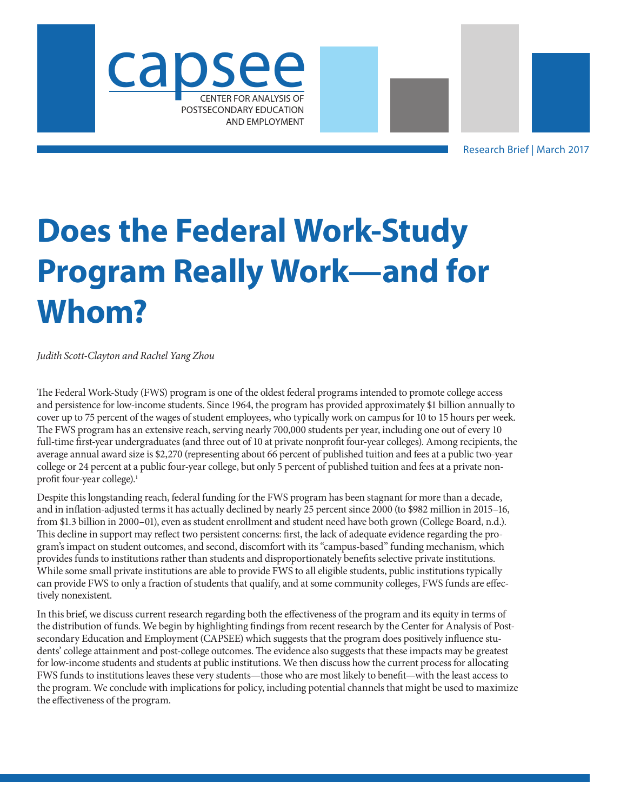



Research Brief | March 2017

# **Does the Federal Work-Study Program Really Work—and for Whom?**

*Judith Scott-Clayton and Rachel Yang Zhou*

The Federal Work-Study (FWS) program is one of the oldest federal programs intended to promote college access and persistence for low-income students. Since 1964, the program has provided approximately \$1 billion annually to cover up to 75 percent of the wages of student employees, who typically work on campus for 10 to 15 hours per week. The FWS program has an extensive reach, serving nearly 700,000 students per year, including one out of every 10 full-time first-year undergraduates (and three out of 10 at private nonprofit four-year colleges). Among recipients, the average annual award size is \$2,270 (representing about 66 percent of published tuition and fees at a public two-year college or 24 percent at a public four-year college, but only 5 percent of published tuition and fees at a private nonprofit four-year college).<sup>1</sup>

Despite this longstanding reach, federal funding for the FWS program has been stagnant for more than a decade, and in inflation-adjusted terms it has actually declined by nearly 25 percent since 2000 (to \$982 million in 2015–16, from \$1.3 billion in 2000–01), even as student enrollment and student need have both grown (College Board, n.d.). This decline in support may reflect two persistent concerns: first, the lack of adequate evidence regarding the program's impact on student outcomes, and second, discomfort with its "campus-based" funding mechanism, which provides funds to institutions rather than students and disproportionately benefits selective private institutions. While some small private institutions are able to provide FWS to all eligible students, public institutions typically can provide FWS to only a fraction of students that qualify, and at some community colleges, FWS funds are effectively nonexistent.

In this brief, we discuss current research regarding both the effectiveness of the program and its equity in terms of the distribution of funds. We begin by highlighting findings from recent research by the Center for Analysis of Postsecondary Education and Employment (CAPSEE) which suggests that the program does positively influence students' college attainment and post-college outcomes. The evidence also suggests that these impacts may be greatest for low-income students and students at public institutions. We then discuss how the current process for allocating FWS funds to institutions leaves these very students—those who are most likely to benefit—with the least access to the program. We conclude with implications for policy, including potential channels that might be used to maximize the effectiveness of the program.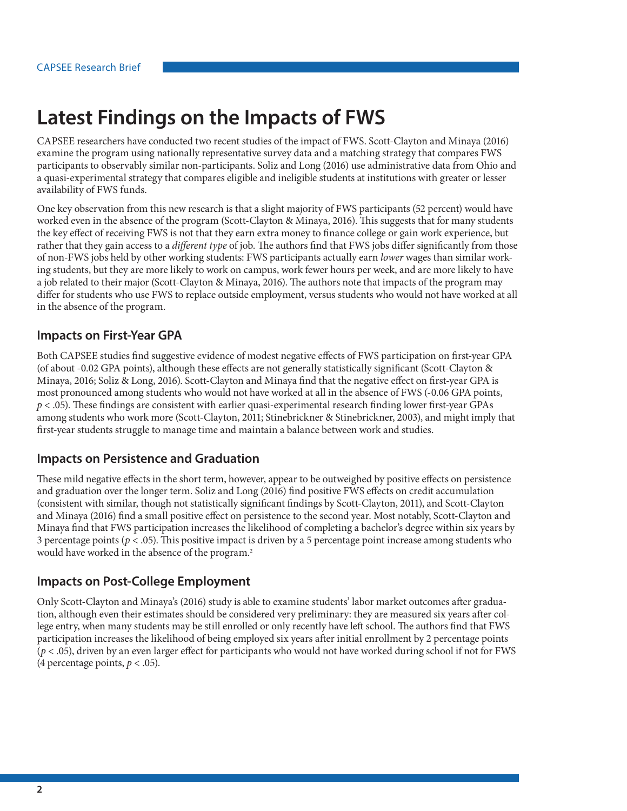# **Latest Findings on the Impacts of FWS**

CAPSEE researchers have conducted two recent studies of the impact of FWS. Scott-Clayton and Minaya (2016) examine the program using nationally representative survey data and a matching strategy that compares FWS participants to observably similar non-participants. Soliz and Long (2016) use administrative data from Ohio and a quasi-experimental strategy that compares eligible and ineligible students at institutions with greater or lesser availability of FWS funds.

One key observation from this new research is that a slight majority of FWS participants (52 percent) would have worked even in the absence of the program (Scott-Clayton & Minaya, 2016). This suggests that for many students the key effect of receiving FWS is not that they earn extra money to finance college or gain work experience, but rather that they gain access to a *different type* of job. The authors find that FWS jobs differ significantly from those of non-FWS jobs held by other working students: FWS participants actually earn *lower* wages than similar working students, but they are more likely to work on campus, work fewer hours per week, and are more likely to have a job related to their major (Scott-Clayton & Minaya, 2016). The authors note that impacts of the program may differ for students who use FWS to replace outside employment, versus students who would not have worked at all in the absence of the program.

#### **Impacts on First-Year GPA**

Both CAPSEE studies find suggestive evidence of modest negative effects of FWS participation on first-year GPA (of about -0.02 GPA points), although these effects are not generally statistically significant (Scott-Clayton & Minaya, 2016; Soliz & Long, 2016). Scott-Clayton and Minaya find that the negative effect on first-year GPA is most pronounced among students who would not have worked at all in the absence of FWS (-0.06 GPA points, *p* < .05). These findings are consistent with earlier quasi-experimental research finding lower first-year GPAs among students who work more (Scott-Clayton, 2011; Stinebrickner & Stinebrickner, 2003), and might imply that first-year students struggle to manage time and maintain a balance between work and studies.

#### **Impacts on Persistence and Graduation**

These mild negative effects in the short term, however, appear to be outweighed by positive effects on persistence and graduation over the longer term. Soliz and Long (2016) find positive FWS effects on credit accumulation (consistent with similar, though not statistically significant findings by Scott-Clayton, 2011), and Scott-Clayton and Minaya (2016) find a small positive effect on persistence to the second year. Most notably, Scott-Clayton and Minaya find that FWS participation increases the likelihood of completing a bachelor's degree within six years by 3 percentage points ( $p < .05$ ). This positive impact is driven by a 5 percentage point increase among students who would have worked in the absence of the program.<sup>2</sup>

#### **Impacts on Post-College Employment**

Only Scott-Clayton and Minaya's (2016) study is able to examine students' labor market outcomes after graduation, although even their estimates should be considered very preliminary: they are measured six years after college entry, when many students may be still enrolled or only recently have left school. The authors find that FWS participation increases the likelihood of being employed six years after initial enrollment by 2 percentage points (*p* < .05), driven by an even larger effect for participants who would not have worked during school if not for FWS (4 percentage points,  $p < .05$ ).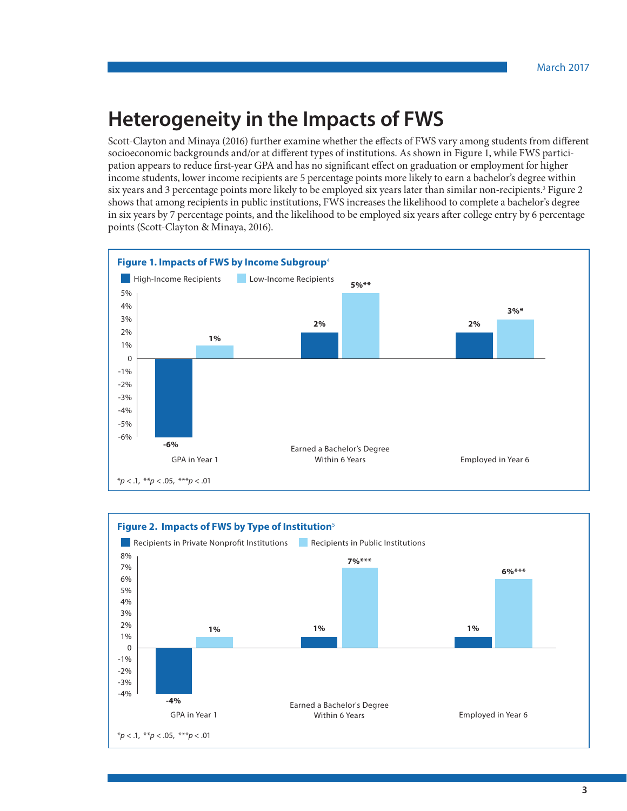### **Heterogeneity in the Impacts of FWS**

Scott-Clayton and Minaya (2016) further examine whether the effects of FWS vary among students from different socioeconomic backgrounds and/or at different types of institutions. As shown in Figure 1, while FWS participation appears to reduce first-year GPA and has no significant effect on graduation or employment for higher income students, lower income recipients are 5 percentage points more likely to earn a bachelor's degree within six years and 3 percentage points more likely to be employed six years later than similar non-recipients.<sup>3</sup> Figure 2 shows that among recipients in public institutions, FWS increases the likelihood to complete a bachelor's degree in six years by 7 percentage points, and the likelihood to be employed six years after college entry by 6 percentage points (Scott-Clayton & Minaya, 2016).



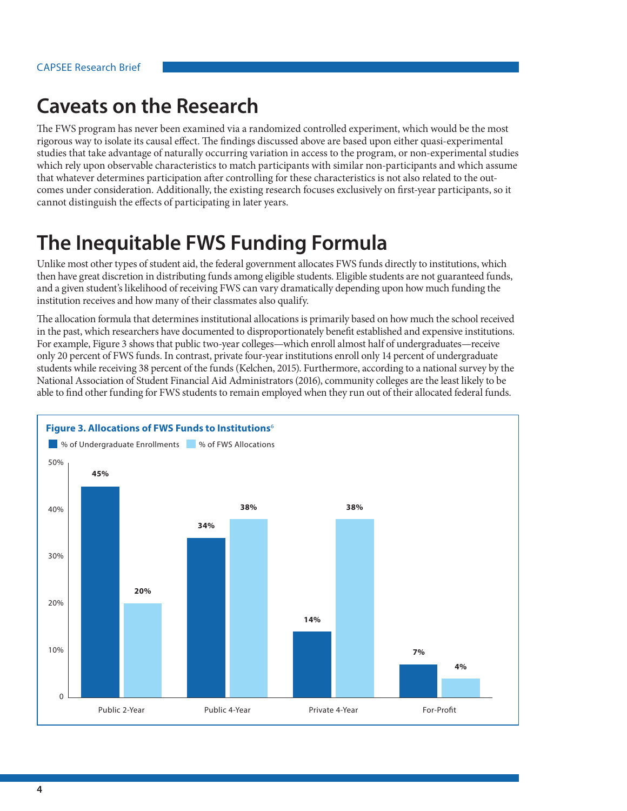### **Caveats on the Research**

The FWS program has never been examined via a randomized controlled experiment, which would be the most rigorous way to isolate its causal effect. The findings discussed above are based upon either quasi-experimental studies that take advantage of naturally occurring variation in access to the program, or non-experimental studies which rely upon observable characteristics to match participants with similar non-participants and which assume that whatever determines participation after controlling for these characteristics is not also related to the outcomes under consideration. Additionally, the existing research focuses exclusively on first-year participants, so it cannot distinguish the effects of participating in later years.

### **The Inequitable FWS Funding Formula**

Unlike most other types of student aid, the federal government allocates FWS funds directly to institutions, which then have great discretion in distributing funds among eligible students. Eligible students are not guaranteed funds, and a given student's likelihood of receiving FWS can vary dramatically depending upon how much funding the institution receives and how many of their classmates also qualify.

The allocation formula that determines institutional allocations is primarily based on how much the school received in the past, which researchers have documented to disproportionately benefit established and expensive institutions. For example, Figure 3 shows that public two-year colleges—which enroll almost half of undergraduates—receive only 20 percent of FWS funds. In contrast, private four-year institutions enroll only 14 percent of undergraduate students while receiving 38 percent of the funds (Kelchen, 2015). Furthermore, according to a national survey by the National Association of Student Financial Aid Administrators (2016), community colleges are the least likely to be able to find other funding for FWS students to remain employed when they run out of their allocated federal funds.

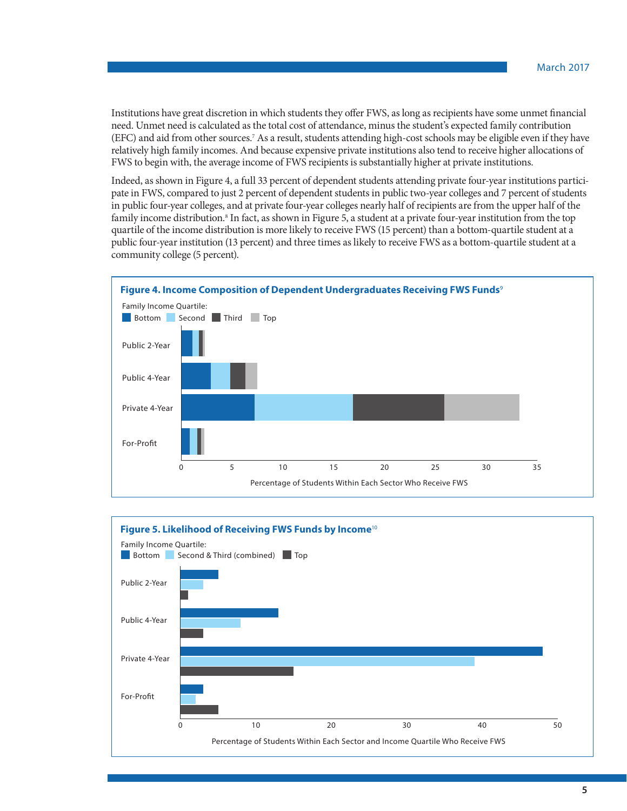Institutions have great discretion in which students they offer FWS, as long as recipients have some unmet financial need. Unmet need is calculated as the total cost of attendance, minus the student's expected family contribution (EFC) and aid from other sources[.7](#page-6-6) As a result, students attending high-cost schools may be eligible even if they have relatively high family incomes. And because expensive private institutions also tend to receive higher allocations of FWS to begin with, the average income of FWS recipients is substantially higher at private institutions.

Indeed, as shown in Figure 4, a full 33 percent of dependent students attending private four-year institutions participate in FWS, compared to just 2 percent of dependent students in public two-year colleges and 7 percent of students in public four-year colleges, and at private four-year colleges nearly half of recipients are from the upper half of the family income distribution.<sup>[8](#page-6-7)</sup> In fact, as shown in Figure 5, a student at a private four-year institution from the top quartile of the income distribution is more likely to receive FWS (15 percent) than a bottom-quartile student at a public four-year institution (13 percent) and three times as likely to receive FWS as a bottom-quartile student at a community college (5 percent).



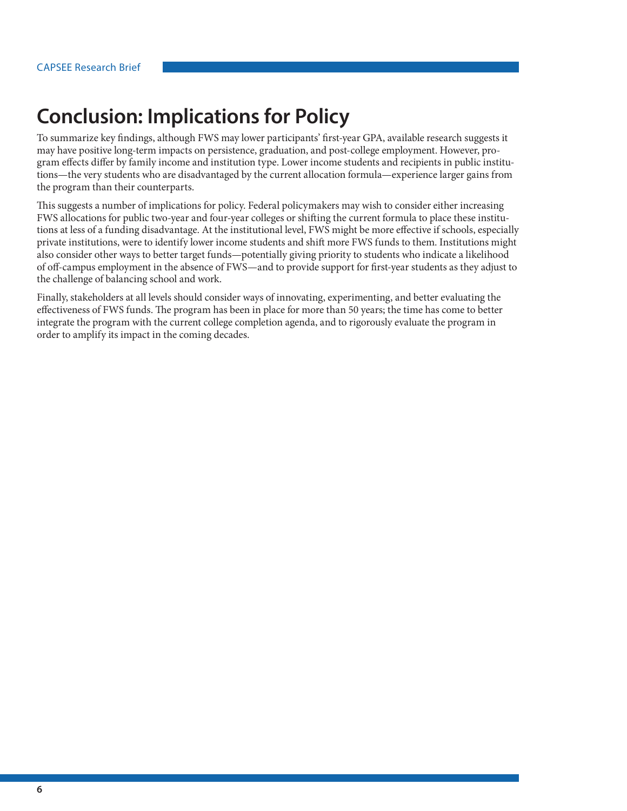# **Conclusion: Implications for Policy**

To summarize key findings, although FWS may lower participants' first-year GPA, available research suggests it may have positive long-term impacts on persistence, graduation, and post-college employment. However, program effects differ by family income and institution type. Lower income students and recipients in public institutions—the very students who are disadvantaged by the current allocation formula—experience larger gains from the program than their counterparts.

This suggests a number of implications for policy. Federal policymakers may wish to consider either increasing FWS allocations for public two-year and four-year colleges or shifting the current formula to place these institutions at less of a funding disadvantage. At the institutional level, FWS might be more effective if schools, especially private institutions, were to identify lower income students and shift more FWS funds to them. Institutions might also consider other ways to better target funds—potentially giving priority to students who indicate a likelihood of off-campus employment in the absence of FWS—and to provide support for first-year students as they adjust to the challenge of balancing school and work.

Finally, stakeholders at all levels should consider ways of innovating, experimenting, and better evaluating the effectiveness of FWS funds. The program has been in place for more than 50 years; the time has come to better integrate the program with the current college completion agenda, and to rigorously evaluate the program in order to amplify its impact in the coming decades.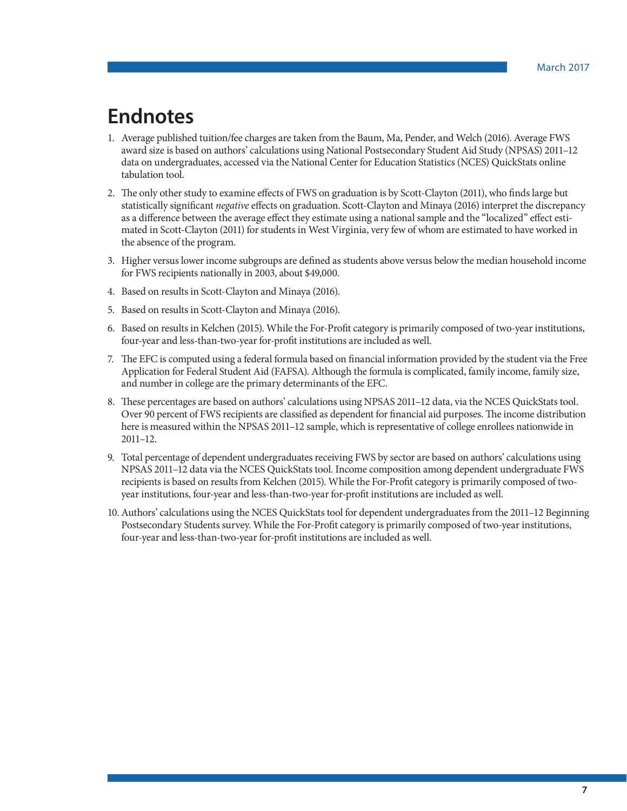### **Endnotes**

- <span id="page-6-0"></span>1. Average published tuition/fee charges are taken from the Baum, Ma, Pender, and Welch (2016). Average FWS award size is based on authors' calculations using National Postsecondary Student Aid Study (NPSAS) 2011–12 data on undergraduates, accessed via the National Center for Education Statistics (NCES) QuickStats online tabulation tool.
- <span id="page-6-1"></span>2. The only other study to examine effects of FWS on graduation is by Scott-Clayton (2011), who finds large but statistically significant *negative* effects on graduation. Scott-Clayton and Minaya (2016) interpret the discrepancy as a difference between the average effect they estimate using a national sample and the "localized" effect estimated in Scott-Clayton (2011) for students in West Virginia, very few of whom are estimated to have worked in the absence of the program.
- <span id="page-6-2"></span>3. Higher versus lower income subgroups are defined as students above versus below the median household income for FWS recipients nationally in 2003, about \$49,000.
- <span id="page-6-3"></span>4. Based on results in Scott-Clayton and Minaya (2016).
- <span id="page-6-4"></span>5. Based on results in Scott-Clayton and Minaya (2016).
- <span id="page-6-5"></span>6. Based on results in Kelchen (2015). While the For-Profit category is primarily composed of two-year institutions, four-year and less-than-two-year for-profit institutions are included as well.
- <span id="page-6-6"></span>7. The EFC is computed using a federal formula based on financial information provided by the student via the Free Application for Federal Student Aid (FAFSA). Although the formula is complicated, family income, family size, and number in college are the primary determinants of the EFC.
- <span id="page-6-7"></span>8. These percentages are based on authors' calculations using NPSAS 2011–12 data, via the NCES QuickStats tool. Over 90 percent of FWS recipients are classified as dependent for financial aid purposes. The income distribution here is measured within the NPSAS 2011–12 sample, which is representative of college enrollees nationwide in 2011–12.
- <span id="page-6-8"></span>9. Total percentage of dependent undergraduates receiving FWS by sector are based on authors' calculations using NPSAS 2011–12 data via the NCES QuickStats tool. Income composition among dependent undergraduate FWS recipients is based on results from Kelchen (2015). While the For-Profit category is primarily composed of twoyear institutions, four-year and less-than-two-year for-profit institutions are included as well.
- <span id="page-6-9"></span>10. Authors' calculations using the NCES QuickStats tool for dependent undergraduates from the 2011–12 Beginning Postsecondary Students survey. While the For-Profit category is primarily composed of two-year institutions, four-year and less-than-two-year for-profit institutions are included as well.